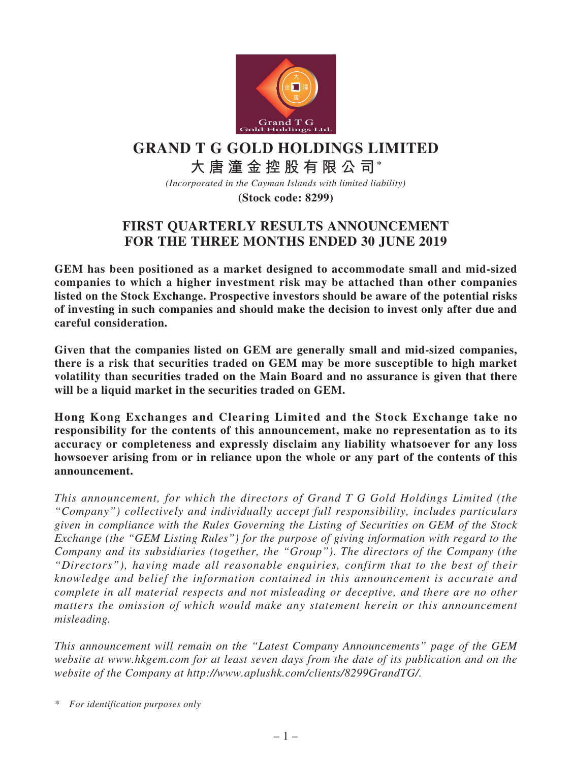

# **GRAND T G GOLD HOLDINGS LIMITED**

# **大唐潼金控股有限公司\***

*(Incorporated in the Cayman Islands with limited liability)*

**(Stock code: 8299)**

## **FIRST QUARTERLY RESULTS ANNOUNCEMENT FOR THE THREE MONTHS ENDED 30 JUNE 2019**

**GEM has been positioned as a market designed to accommodate small and mid-sized companies to which a higher investment risk may be attached than other companies listed on the Stock Exchange. Prospective investors should be aware of the potential risks of investing in such companies and should make the decision to invest only after due and careful consideration.**

**Given that the companies listed on GEM are generally small and mid-sized companies, there is a risk that securities traded on GEM may be more susceptible to high market volatility than securities traded on the Main Board and no assurance is given that there will be a liquid market in the securities traded on GEM.**

**Hong Kong Exchanges and Clearing Limited and the Stock Exchange take no responsibility for the contents of this announcement, make no representation as to its accuracy or completeness and expressly disclaim any liability whatsoever for any loss howsoever arising from or in reliance upon the whole or any part of the contents of this announcement.**

*This announcement, for which the directors of Grand T G Gold Holdings Limited (the "Company") collectively and individually accept full responsibility, includes particulars given in compliance with the Rules Governing the Listing of Securities on GEM of the Stock Exchange (the "GEM Listing Rules") for the purpose of giving information with regard to the Company and its subsidiaries (together, the "Group"). The directors of the Company (the "Directors"), having made all reasonable enquiries, confirm that to the best of their knowledge and belief the information contained in this announcement is accurate and complete in all material respects and not misleading or deceptive, and there are no other matters the omission of which would make any statement herein or this announcement misleading.*

*This announcement will remain on the "Latest Company Announcements" page of the GEM website at www.hkgem.com for at least seven days from the date of its publication and on the website of the Company at http://www.aplushk.com/clients/8299GrandTG/.*

*\* For identification purposes only*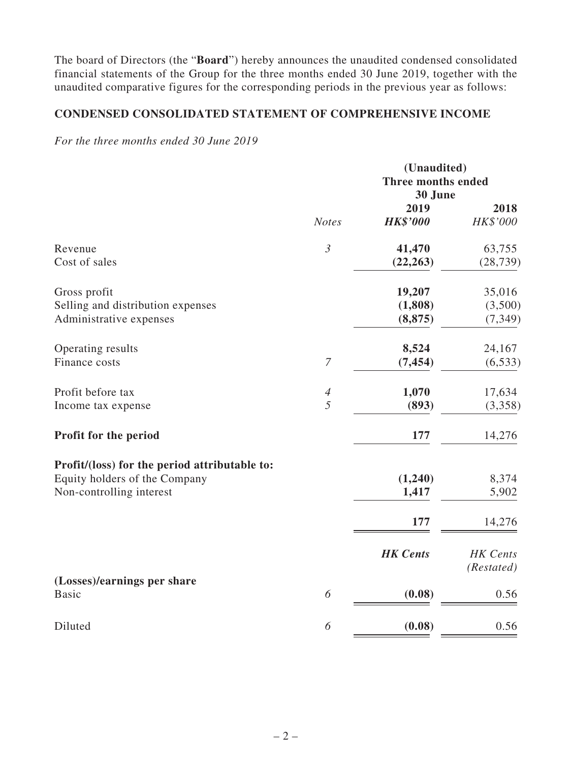The board of Directors (the "**Board**") hereby announces the unaudited condensed consolidated financial statements of the Group for the three months ended 30 June 2019, together with the unaudited comparative figures for the corresponding periods in the previous year as follows:

### **CONDENSED CONSOLIDATED STATEMENT OF COMPREHENSIVE INCOME**

*For the three months ended 30 June 2019*

|                                                                                                            |                     | (Unaudited)<br><b>Three months ended</b><br>30 June |                               |  |
|------------------------------------------------------------------------------------------------------------|---------------------|-----------------------------------------------------|-------------------------------|--|
|                                                                                                            | <b>Notes</b>        | 2019<br><b>HK\$'000</b>                             | 2018<br>HK\$'000              |  |
| Revenue<br>Cost of sales                                                                                   | $\mathfrak{Z}$      | 41,470<br>(22, 263)                                 | 63,755<br>(28, 739)           |  |
| Gross profit<br>Selling and distribution expenses<br>Administrative expenses                               |                     | 19,207<br>(1, 808)<br>(8, 875)                      | 35,016<br>(3,500)<br>(7, 349) |  |
| Operating results<br>Finance costs                                                                         | $\boldsymbol{7}$    | 8,524<br>(7, 454)                                   | 24,167<br>(6, 533)            |  |
| Profit before tax<br>Income tax expense                                                                    | $\overline{A}$<br>5 | 1,070<br>(893)                                      | 17,634<br>(3,358)             |  |
| Profit for the period                                                                                      |                     | 177                                                 | 14,276                        |  |
| Profit/(loss) for the period attributable to:<br>Equity holders of the Company<br>Non-controlling interest |                     | (1,240)<br>1,417<br>177                             | 8,374<br>5,902<br>14,276      |  |
| (Losses)/earnings per share                                                                                |                     | <b>HK</b> Cents                                     | <b>HK</b> Cents<br>(Restated) |  |
| <b>Basic</b>                                                                                               | 6                   | (0.08)                                              | 0.56                          |  |
| Diluted                                                                                                    | 6                   | (0.08)                                              | 0.56                          |  |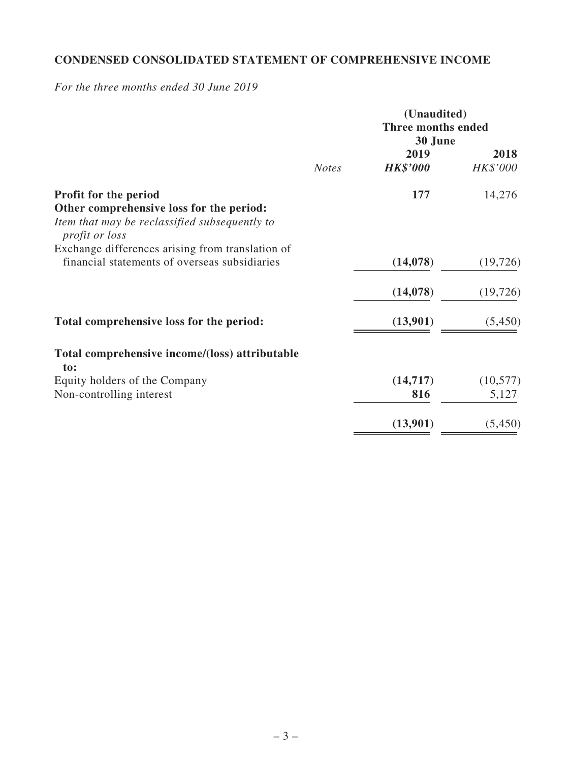### **CONDENSED CONSOLIDATED STATEMENT OF COMPREHENSIVE INCOME**

*For the three months ended 30 June 2019*

|                                                                                                                           |              | (Unaudited)<br>Three months ended<br>30 June |                  |  |
|---------------------------------------------------------------------------------------------------------------------------|--------------|----------------------------------------------|------------------|--|
|                                                                                                                           | <b>Notes</b> | 2019<br><b>HK\$'000</b>                      | 2018<br>HK\$'000 |  |
| <b>Profit for the period</b><br>Other comprehensive loss for the period:<br>Item that may be reclassified subsequently to |              | 177                                          | 14,276           |  |
| <i>profit or loss</i>                                                                                                     |              |                                              |                  |  |
| Exchange differences arising from translation of<br>financial statements of overseas subsidiaries                         |              | (14, 078)                                    | (19, 726)        |  |
|                                                                                                                           |              | (14, 078)                                    | (19, 726)        |  |
| Total comprehensive loss for the period:                                                                                  |              | (13,901)                                     | (5,450)          |  |
| Total comprehensive income/(loss) attributable<br>to:                                                                     |              |                                              |                  |  |
| Equity holders of the Company                                                                                             |              | (14, 717)                                    | (10, 577)        |  |
| Non-controlling interest                                                                                                  |              | 816                                          | 5,127            |  |
|                                                                                                                           |              | (13,901)                                     | (5, 450)         |  |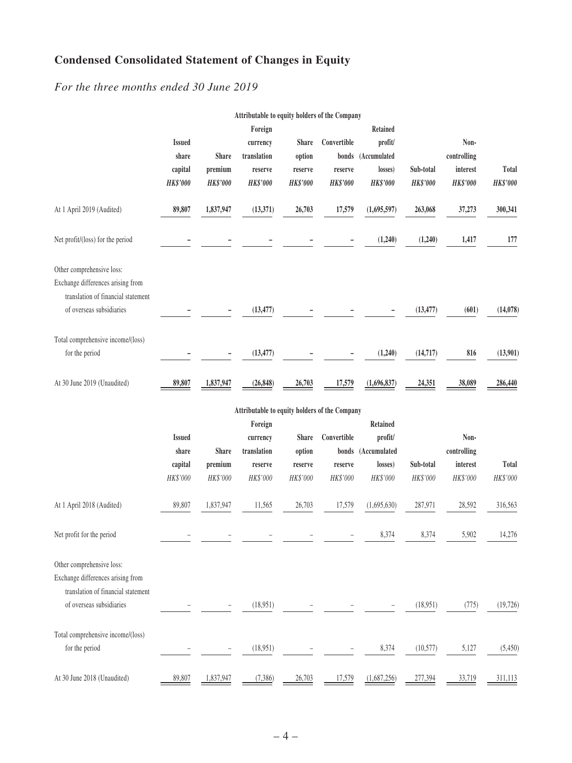## **Condensed Consolidated Statement of Changes in Equity**

*For the three months ended 30 June 2019*

|                                                                                                                                  |                                               |                                     | Attributable to equity holders of the Company             |                                                      |                                           |                                                                  |                              |                                                    |                   |
|----------------------------------------------------------------------------------------------------------------------------------|-----------------------------------------------|-------------------------------------|-----------------------------------------------------------|------------------------------------------------------|-------------------------------------------|------------------------------------------------------------------|------------------------------|----------------------------------------------------|-------------------|
|                                                                                                                                  | <b>Issued</b><br>share<br>capital<br>HK\$'000 | Share<br>premium<br><b>HK\$'000</b> | Foreign<br>currency<br>translation<br>reserve<br>HK\$'000 | <b>Share</b><br>option<br>reserve<br><b>HK\$'000</b> | Convertible<br>reserve<br><b>HK\$'000</b> | Retained<br>profit/<br>bonds (Accumulated<br>losses)<br>HK\$'000 | Sub-total<br><b>HK\$'000</b> | Non-<br>controlling<br>interest<br><b>HK\$'000</b> | Total<br>HK\$'000 |
| At 1 April 2019 (Audited)                                                                                                        | 89,807                                        | 1,837,947                           | (13, 371)                                                 | 26,703                                               | 17,579                                    | (1,695,597)                                                      | 263,068                      | 37,273                                             | 300,341           |
| Net profit/(loss) for the period                                                                                                 |                                               |                                     |                                                           |                                                      |                                           | (1,240)                                                          | (1,240)                      | 1,417                                              | 177               |
| Other comprehensive loss:<br>Exchange differences arising from<br>translation of financial statement<br>of overseas subsidiaries |                                               |                                     | (13, 477)                                                 |                                                      |                                           |                                                                  | (13, 477)                    | (601)                                              | (14,078)          |
| Total comprehensive income/(loss)<br>for the period                                                                              |                                               |                                     | (13, 477)                                                 |                                                      |                                           | (1,240)                                                          | (14, 717)                    | 816                                                | (13,901)          |
| At 30 June 2019 (Unaudited)                                                                                                      | 89,807                                        | 1,837,947                           | (26, 848)                                                 | 26,703                                               | 17,579                                    | (1,696,837)                                                      | 24,351                       | 38,089                                             | 286,440           |
|                                                                                                                                  |                                               |                                     | Attributable to equity holders of the Company             |                                                      |                                           |                                                                  |                              |                                                    |                   |
|                                                                                                                                  | <b>Issued</b><br>share<br>capital<br>HK\$'000 | Share<br>premium<br>HK\$'000        | Foreign<br>currency<br>translation<br>reserve<br>HK\$'000 | <b>Share</b><br>option<br>reserve<br>HK\$'000        | Convertible<br>reserve<br>HK\$'000        | Retained<br>profit/<br>bonds (Accumulated<br>losses)<br>HK\$'000 | Sub-total<br>HK\$'000        | Non-<br>controlling<br>interest<br>HK\$'000        | Total<br>HK\$'000 |
| At 1 April 2018 (Audited)                                                                                                        | 89,807                                        | 1,837,947                           | 11,565                                                    | 26,703                                               | 17,579                                    | (1,695,630)                                                      | 287,971                      | 28,592                                             | 316,563           |
| Net profit for the period                                                                                                        |                                               |                                     |                                                           |                                                      |                                           | 8,374                                                            | 8,374                        | 5,902                                              | 14,276            |
| Other comprehensive loss:<br>Exchange differences arising from<br>translation of financial statement<br>of overseas subsidiaries |                                               |                                     | (18,951)                                                  |                                                      |                                           |                                                                  | (18,951)                     | (775)                                              | (19, 726)         |
| Total comprehensive income/(loss)<br>for the period                                                                              |                                               |                                     | (18,951)                                                  |                                                      |                                           | 8,374                                                            | (10, 577)                    | 5,127                                              | (5,450)           |
| At 30 June 2018 (Unaudited)                                                                                                      | 89,807                                        | 1,837,947                           | (7,386)                                                   | 26,703                                               | 17,579                                    | (1,687,256)                                                      | 277,394                      | 33,719                                             | 311,113           |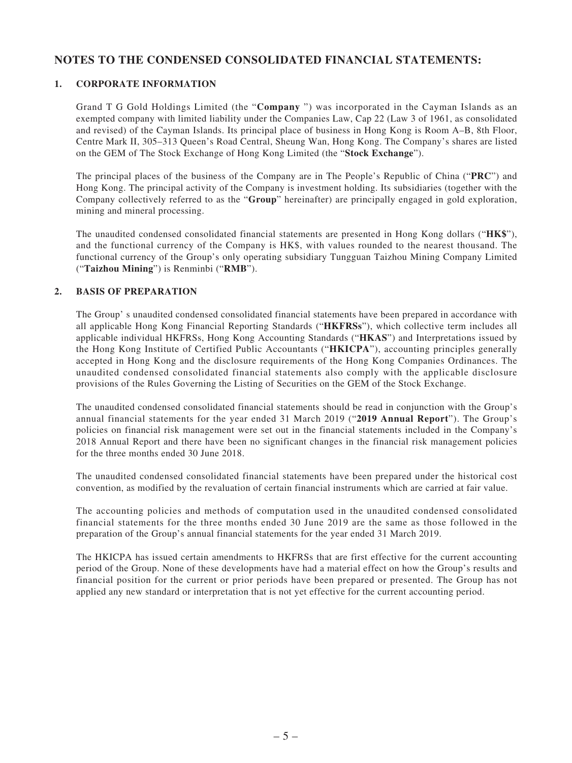#### **NOTES TO THE CONDENSED CONSOLIDATED FINANCIAL STATEMENTS:**

#### **1. CORPORATE INFORMATION**

Grand T G Gold Holdings Limited (the "**Company** ") was incorporated in the Cayman Islands as an exempted company with limited liability under the Companies Law, Cap 22 (Law 3 of 1961, as consolidated and revised) of the Cayman Islands. Its principal place of business in Hong Kong is Room A–B, 8th Floor, Centre Mark II, 305–313 Queen's Road Central, Sheung Wan, Hong Kong. The Company's shares are listed on the GEM of The Stock Exchange of Hong Kong Limited (the "**Stock Exchange**").

The principal places of the business of the Company are in The People's Republic of China ("**PRC**") and Hong Kong. The principal activity of the Company is investment holding. Its subsidiaries (together with the Company collectively referred to as the "**Group**" hereinafter) are principally engaged in gold exploration, mining and mineral processing.

The unaudited condensed consolidated financial statements are presented in Hong Kong dollars ("**HK\$**"), and the functional currency of the Company is HK\$, with values rounded to the nearest thousand. The functional currency of the Group's only operating subsidiary Tungguan Taizhou Mining Company Limited ("**Taizhou Mining**") is Renminbi ("**RMB**").

#### **2. BASIS OF PREPARATION**

The Group' s unaudited condensed consolidated financial statements have been prepared in accordance with all applicable Hong Kong Financial Reporting Standards ("**HKFRSs**"), which collective term includes all applicable individual HKFRSs, Hong Kong Accounting Standards ("**HKAS**") and Interpretations issued by the Hong Kong Institute of Certified Public Accountants ("**HKICPA**"), accounting principles generally accepted in Hong Kong and the disclosure requirements of the Hong Kong Companies Ordinances. The unaudited condensed consolidated financial statements also comply with the applicable disclosure provisions of the Rules Governing the Listing of Securities on the GEM of the Stock Exchange.

The unaudited condensed consolidated financial statements should be read in conjunction with the Group's annual financial statements for the year ended 31 March 2019 ("**2019 Annual Report**"). The Group's policies on financial risk management were set out in the financial statements included in the Company's 2018 Annual Report and there have been no significant changes in the financial risk management policies for the three months ended 30 June 2018.

The unaudited condensed consolidated financial statements have been prepared under the historical cost convention, as modified by the revaluation of certain financial instruments which are carried at fair value.

The accounting policies and methods of computation used in the unaudited condensed consolidated financial statements for the three months ended 30 June 2019 are the same as those followed in the preparation of the Group's annual financial statements for the year ended 31 March 2019.

The HKICPA has issued certain amendments to HKFRSs that are first effective for the current accounting period of the Group. None of these developments have had a material effect on how the Group's results and financial position for the current or prior periods have been prepared or presented. The Group has not applied any new standard or interpretation that is not yet effective for the current accounting period.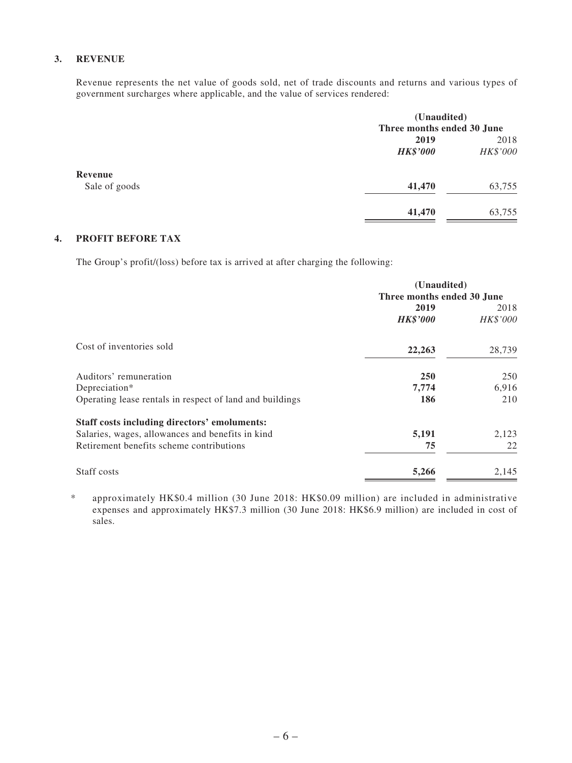#### **3. REVENUE**

Revenue represents the net value of goods sold, net of trade discounts and returns and various types of government surcharges where applicable, and the value of services rendered:

|               | (Unaudited)     |                            |  |  |
|---------------|-----------------|----------------------------|--|--|
|               |                 | Three months ended 30 June |  |  |
|               | 2019            | 2018                       |  |  |
|               | <b>HK\$'000</b> | HK\$'000                   |  |  |
| Revenue       |                 |                            |  |  |
| Sale of goods | 41,470          | 63,755                     |  |  |
|               | 41,470          | 63,755                     |  |  |

#### **4. PROFIT BEFORE TAX**

The Group's profit/(loss) before tax is arrived at after charging the following:

|                                                          | (Unaudited)<br>Three months ended 30 June |          |  |
|----------------------------------------------------------|-------------------------------------------|----------|--|
|                                                          |                                           |          |  |
|                                                          | 2019                                      | 2018     |  |
|                                                          | <b>HK\$'000</b>                           | HK\$'000 |  |
| Cost of inventories sold                                 | 22,263                                    | 28,739   |  |
| Auditors' remuneration                                   | <b>250</b>                                | 250      |  |
| Depreciation*                                            | 7,774                                     | 6,916    |  |
| Operating lease rentals in respect of land and buildings | 186                                       | 210      |  |
| Staff costs including directors' emoluments:             |                                           |          |  |
| Salaries, wages, allowances and benefits in kind         | 5,191                                     | 2,123    |  |
| Retirement benefits scheme contributions                 | 75                                        | 22       |  |
| Staff costs                                              | 5,266                                     | 2,145    |  |

\* approximately HK\$0.4 million (30 June 2018: HK\$0.09 million) are included in administrative expenses and approximately HK\$7.3 million (30 June 2018: HK\$6.9 million) are included in cost of sales.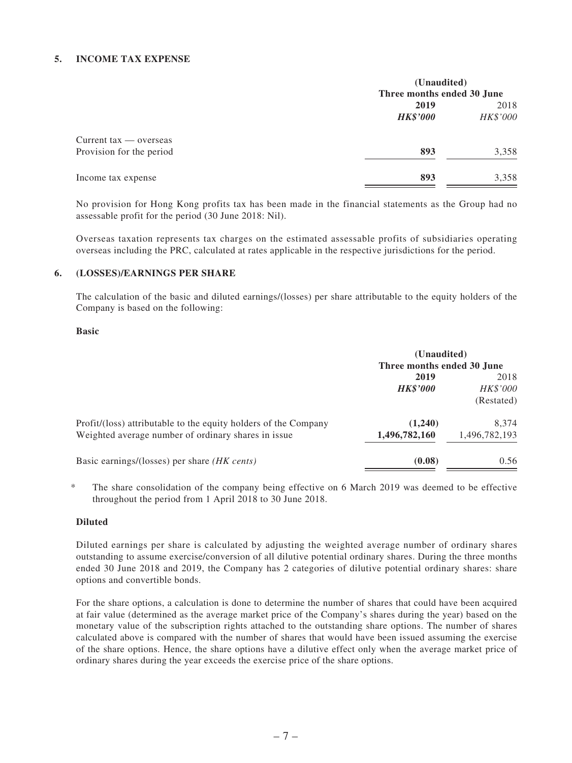#### **5. INCOME TAX EXPENSE**

| (Unaudited)<br>Three months ended 30 June |          |  |
|-------------------------------------------|----------|--|
|                                           |          |  |
| <b>HK\$'000</b>                           | HK\$'000 |  |
|                                           |          |  |
| 893                                       | 3,358    |  |
| 893                                       | 3,358    |  |
|                                           |          |  |

No provision for Hong Kong profits tax has been made in the financial statements as the Group had no assessable profit for the period (30 June 2018: Nil).

Overseas taxation represents tax charges on the estimated assessable profits of subsidiaries operating overseas including the PRC, calculated at rates applicable in the respective jurisdictions for the period.

#### **6. (LOSSES)/EARNINGS PER SHARE**

The calculation of the basic and diluted earnings/(losses) per share attributable to the equity holders of the Company is based on the following:

#### **Basic**

|                                                                                                                        | (Unaudited)<br>Three months ended 30 June |                                |  |
|------------------------------------------------------------------------------------------------------------------------|-------------------------------------------|--------------------------------|--|
|                                                                                                                        | 2019<br><b>HK\$'000</b>                   | 2018<br>HK\$'000<br>(Restated) |  |
| Profit/(loss) attributable to the equity holders of the Company<br>Weighted average number of ordinary shares in issue | (1,240)<br>1,496,782,160                  | 8.374<br>1,496,782,193         |  |
| Basic earnings/(losses) per share <i>(HK cents)</i>                                                                    | (0.08)                                    | 0.56                           |  |

\* The share consolidation of the company being effective on 6 March 2019 was deemed to be effective throughout the period from 1 April 2018 to 30 June 2018.

#### **Diluted**

Diluted earnings per share is calculated by adjusting the weighted average number of ordinary shares outstanding to assume exercise/conversion of all dilutive potential ordinary shares. During the three months ended 30 June 2018 and 2019, the Company has 2 categories of dilutive potential ordinary shares: share options and convertible bonds.

For the share options, a calculation is done to determine the number of shares that could have been acquired at fair value (determined as the average market price of the Company's shares during the year) based on the monetary value of the subscription rights attached to the outstanding share options. The number of shares calculated above is compared with the number of shares that would have been issued assuming the exercise of the share options. Hence, the share options have a dilutive effect only when the average market price of ordinary shares during the year exceeds the exercise price of the share options.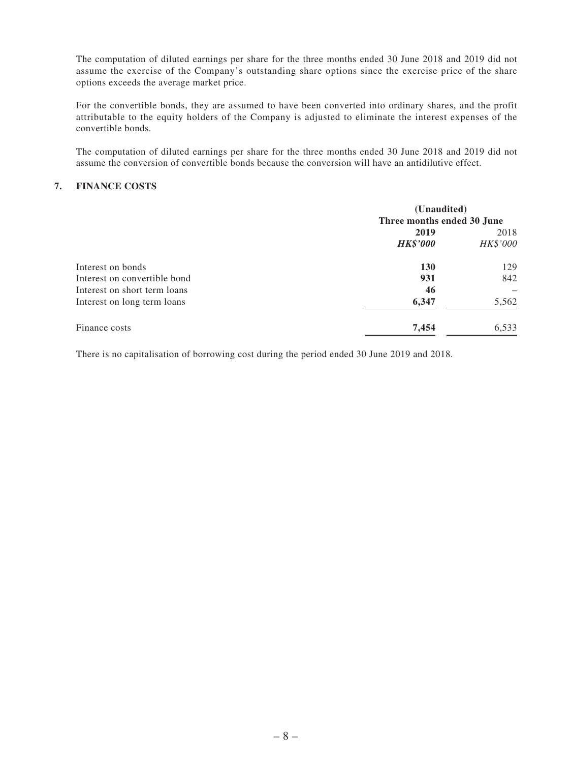The computation of diluted earnings per share for the three months ended 30 June 2018 and 2019 did not assume the exercise of the Company's outstanding share options since the exercise price of the share options exceeds the average market price.

For the convertible bonds, they are assumed to have been converted into ordinary shares, and the profit attributable to the equity holders of the Company is adjusted to eliminate the interest expenses of the convertible bonds.

The computation of diluted earnings per share for the three months ended 30 June 2018 and 2019 did not assume the conversion of convertible bonds because the conversion will have an antidilutive effect.

#### **7. FINANCE COSTS**

|                              | (Unaudited)<br>Three months ended 30 June |                  |  |
|------------------------------|-------------------------------------------|------------------|--|
|                              | 2019<br><b>HK\$'000</b>                   | 2018<br>HK\$'000 |  |
| Interest on bonds            | <b>130</b>                                | 129              |  |
| Interest on convertible bond | 931                                       | 842              |  |
| Interest on short term loans | 46                                        |                  |  |
| Interest on long term loans  | 6,347                                     | 5,562            |  |
| Finance costs                | 7,454                                     | 6,533            |  |

There is no capitalisation of borrowing cost during the period ended 30 June 2019 and 2018.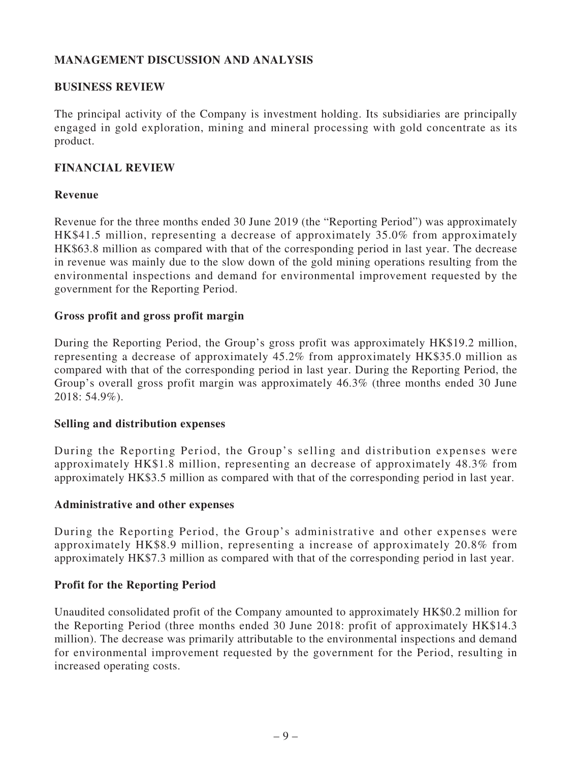### **MANAGEMENT DISCUSSION AND ANALYSIS**

#### **BUSINESS REVIEW**

The principal activity of the Company is investment holding. Its subsidiaries are principally engaged in gold exploration, mining and mineral processing with gold concentrate as its product.

#### **FINANCIAL REVIEW**

#### **Revenue**

Revenue for the three months ended 30 June 2019 (the "Reporting Period") was approximately HK\$41.5 million, representing a decrease of approximately 35.0% from approximately HK\$63.8 million as compared with that of the corresponding period in last year. The decrease in revenue was mainly due to the slow down of the gold mining operations resulting from the environmental inspections and demand for environmental improvement requested by the government for the Reporting Period.

#### **Gross profit and gross profit margin**

During the Reporting Period, the Group's gross profit was approximately HK\$19.2 million, representing a decrease of approximately 45.2% from approximately HK\$35.0 million as compared with that of the corresponding period in last year. During the Reporting Period, the Group's overall gross profit margin was approximately 46.3% (three months ended 30 June 2018: 54.9%).

#### **Selling and distribution expenses**

During the Reporting Period, the Group's selling and distribution expenses were approximately HK\$1.8 million, representing an decrease of approximately 48.3% from approximately HK\$3.5 million as compared with that of the corresponding period in last year.

#### **Administrative and other expenses**

During the Reporting Period, the Group's administrative and other expenses were approximately HK\$8.9 million, representing a increase of approximately 20.8% from approximately HK\$7.3 million as compared with that of the corresponding period in last year.

#### **Profit for the Reporting Period**

Unaudited consolidated profit of the Company amounted to approximately HK\$0.2 million for the Reporting Period (three months ended 30 June 2018: profit of approximately HK\$14.3 million). The decrease was primarily attributable to the environmental inspections and demand for environmental improvement requested by the government for the Period, resulting in increased operating costs.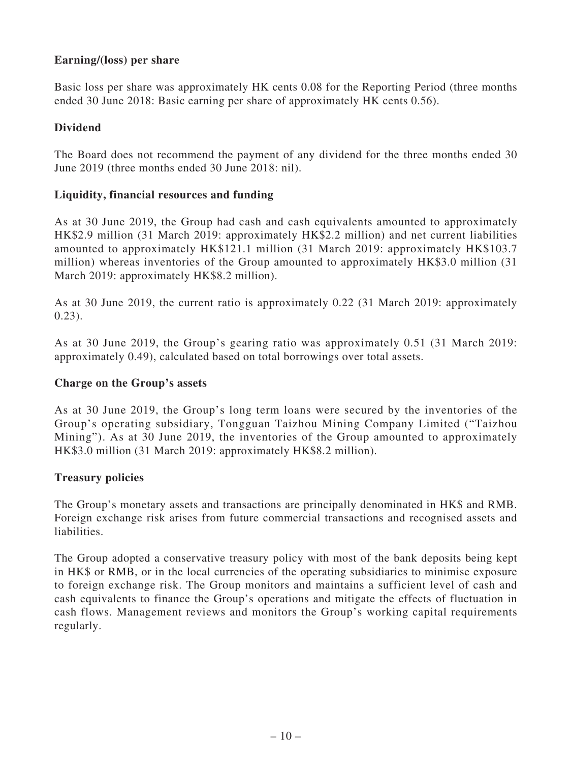### **Earning/(loss) per share**

Basic loss per share was approximately HK cents 0.08 for the Reporting Period (three months ended 30 June 2018: Basic earning per share of approximately HK cents 0.56).

#### **Dividend**

The Board does not recommend the payment of any dividend for the three months ended 30 June 2019 (three months ended 30 June 2018: nil).

#### **Liquidity, financial resources and funding**

As at 30 June 2019, the Group had cash and cash equivalents amounted to approximately HK\$2.9 million (31 March 2019: approximately HK\$2.2 million) and net current liabilities amounted to approximately HK\$121.1 million (31 March 2019: approximately HK\$103.7 million) whereas inventories of the Group amounted to approximately HK\$3.0 million (31 March 2019: approximately HK\$8.2 million).

As at 30 June 2019, the current ratio is approximately 0.22 (31 March 2019: approximately 0.23).

As at 30 June 2019, the Group's gearing ratio was approximately 0.51 (31 March 2019: approximately 0.49), calculated based on total borrowings over total assets.

#### **Charge on the Group's assets**

As at 30 June 2019, the Group's long term loans were secured by the inventories of the Group's operating subsidiary, Tongguan Taizhou Mining Company Limited ("Taizhou Mining"). As at 30 June 2019, the inventories of the Group amounted to approximately HK\$3.0 million (31 March 2019: approximately HK\$8.2 million).

### **Treasury policies**

The Group's monetary assets and transactions are principally denominated in HK\$ and RMB. Foreign exchange risk arises from future commercial transactions and recognised assets and liabilities.

The Group adopted a conservative treasury policy with most of the bank deposits being kept in HK\$ or RMB, or in the local currencies of the operating subsidiaries to minimise exposure to foreign exchange risk. The Group monitors and maintains a sufficient level of cash and cash equivalents to finance the Group's operations and mitigate the effects of fluctuation in cash flows. Management reviews and monitors the Group's working capital requirements regularly.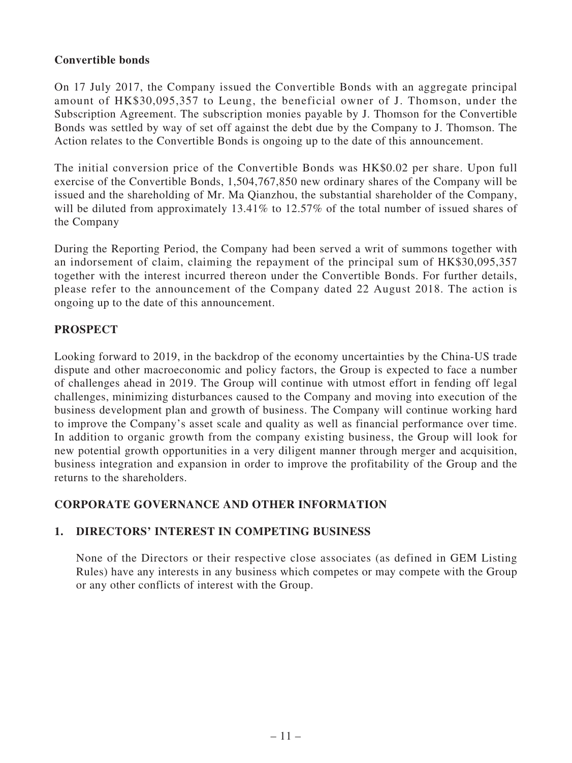### **Convertible bonds**

On 17 July 2017, the Company issued the Convertible Bonds with an aggregate principal amount of HK\$30,095,357 to Leung, the beneficial owner of J. Thomson, under the Subscription Agreement. The subscription monies payable by J. Thomson for the Convertible Bonds was settled by way of set off against the debt due by the Company to J. Thomson. The Action relates to the Convertible Bonds is ongoing up to the date of this announcement.

The initial conversion price of the Convertible Bonds was HK\$0.02 per share. Upon full exercise of the Convertible Bonds, 1,504,767,850 new ordinary shares of the Company will be issued and the shareholding of Mr. Ma Qianzhou, the substantial shareholder of the Company, will be diluted from approximately 13.41% to 12.57% of the total number of issued shares of the Company

During the Reporting Period, the Company had been served a writ of summons together with an indorsement of claim, claiming the repayment of the principal sum of HK\$30,095,357 together with the interest incurred thereon under the Convertible Bonds. For further details, please refer to the announcement of the Company dated 22 August 2018. The action is ongoing up to the date of this announcement.

### **PROSPECT**

Looking forward to 2019, in the backdrop of the economy uncertainties by the China-US trade dispute and other macroeconomic and policy factors, the Group is expected to face a number of challenges ahead in 2019. The Group will continue with utmost effort in fending off legal challenges, minimizing disturbances caused to the Company and moving into execution of the business development plan and growth of business. The Company will continue working hard to improve the Company's asset scale and quality as well as financial performance over time. In addition to organic growth from the company existing business, the Group will look for new potential growth opportunities in a very diligent manner through merger and acquisition, business integration and expansion in order to improve the profitability of the Group and the returns to the shareholders.

### **CORPORATE GOVERNANCE AND OTHER INFORMATION**

### **1. DIRECTORS' INTEREST IN COMPETING BUSINESS**

None of the Directors or their respective close associates (as defined in GEM Listing Rules) have any interests in any business which competes or may compete with the Group or any other conflicts of interest with the Group.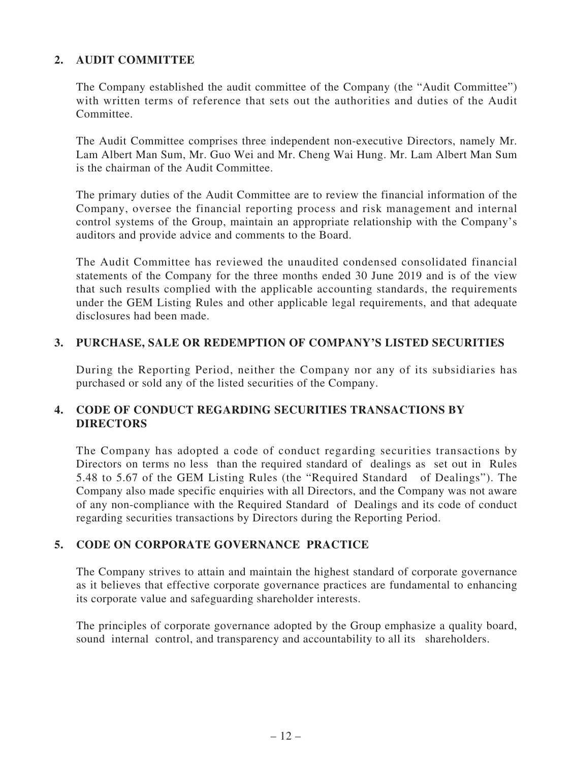### **2. AUDIT COMMITTEE**

The Company established the audit committee of the Company (the "Audit Committee") with written terms of reference that sets out the authorities and duties of the Audit Committee.

The Audit Committee comprises three independent non-executive Directors, namely Mr. Lam Albert Man Sum, Mr. Guo Wei and Mr. Cheng Wai Hung. Mr. Lam Albert Man Sum is the chairman of the Audit Committee.

The primary duties of the Audit Committee are to review the financial information of the Company, oversee the financial reporting process and risk management and internal control systems of the Group, maintain an appropriate relationship with the Company's auditors and provide advice and comments to the Board.

The Audit Committee has reviewed the unaudited condensed consolidated financial statements of the Company for the three months ended 30 June 2019 and is of the view that such results complied with the applicable accounting standards, the requirements under the GEM Listing Rules and other applicable legal requirements, and that adequate disclosures had been made.

### **3. PURCHASE, SALE OR REDEMPTION OF COMPANY'S LISTED SECURITIES**

During the Reporting Period, neither the Company nor any of its subsidiaries has purchased or sold any of the listed securities of the Company.

### **4. CODE OF CONDUCT REGARDING SECURITIES TRANSACTIONS BY DIRECTORS**

The Company has adopted a code of conduct regarding securities transactions by Directors on terms no less than the required standard of dealings as set out in Rules 5.48 to 5.67 of the GEM Listing Rules (the "Required Standard of Dealings"). The Company also made specific enquiries with all Directors, and the Company was not aware of any non-compliance with the Required Standard of Dealings and its code of conduct regarding securities transactions by Directors during the Reporting Period.

### **5. CODE ON CORPORATE GOVERNANCE PRACTICE**

The Company strives to attain and maintain the highest standard of corporate governance as it believes that effective corporate governance practices are fundamental to enhancing its corporate value and safeguarding shareholder interests.

The principles of corporate governance adopted by the Group emphasize a quality board, sound internal control, and transparency and accountability to all its shareholders.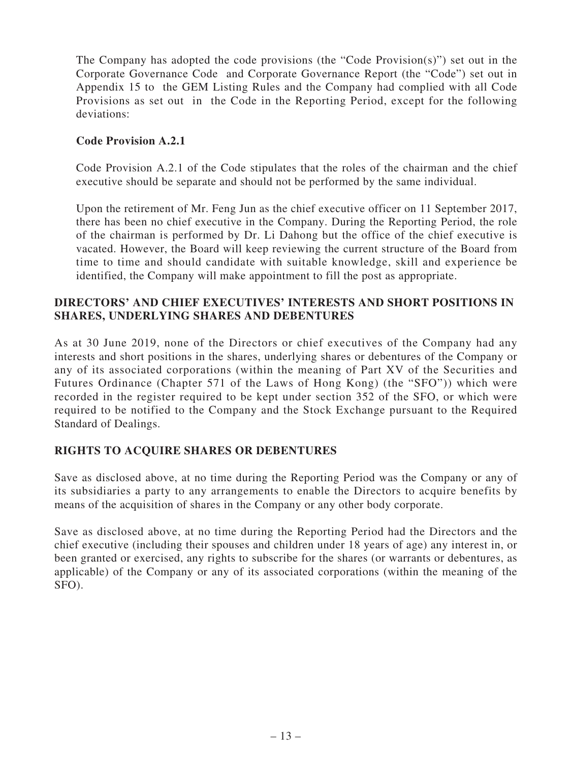The Company has adopted the code provisions (the "Code Provision(s)") set out in the Corporate Governance Code and Corporate Governance Report (the "Code") set out in Appendix 15 to the GEM Listing Rules and the Company had complied with all Code Provisions as set out in the Code in the Reporting Period, except for the following deviations:

#### **Code Provision A.2.1**

Code Provision A.2.1 of the Code stipulates that the roles of the chairman and the chief executive should be separate and should not be performed by the same individual.

Upon the retirement of Mr. Feng Jun as the chief executive officer on 11 September 2017, there has been no chief executive in the Company. During the Reporting Period, the role of the chairman is performed by Dr. Li Dahong but the office of the chief executive is vacated. However, the Board will keep reviewing the current structure of the Board from time to time and should candidate with suitable knowledge, skill and experience be identified, the Company will make appointment to fill the post as appropriate.

### **DIRECTORS' AND CHIEF EXECUTIVES' INTERESTS AND SHORT POSITIONS IN SHARES, UNDERLYING SHARES AND DEBENTURES**

As at 30 June 2019, none of the Directors or chief executives of the Company had any interests and short positions in the shares, underlying shares or debentures of the Company or any of its associated corporations (within the meaning of Part XV of the Securities and Futures Ordinance (Chapter 571 of the Laws of Hong Kong) (the "SFO")) which were recorded in the register required to be kept under section 352 of the SFO, or which were required to be notified to the Company and the Stock Exchange pursuant to the Required Standard of Dealings.

### **RIGHTS TO ACQUIRE SHARES OR DEBENTURES**

Save as disclosed above, at no time during the Reporting Period was the Company or any of its subsidiaries a party to any arrangements to enable the Directors to acquire benefits by means of the acquisition of shares in the Company or any other body corporate.

Save as disclosed above, at no time during the Reporting Period had the Directors and the chief executive (including their spouses and children under 18 years of age) any interest in, or been granted or exercised, any rights to subscribe for the shares (or warrants or debentures, as applicable) of the Company or any of its associated corporations (within the meaning of the SFO).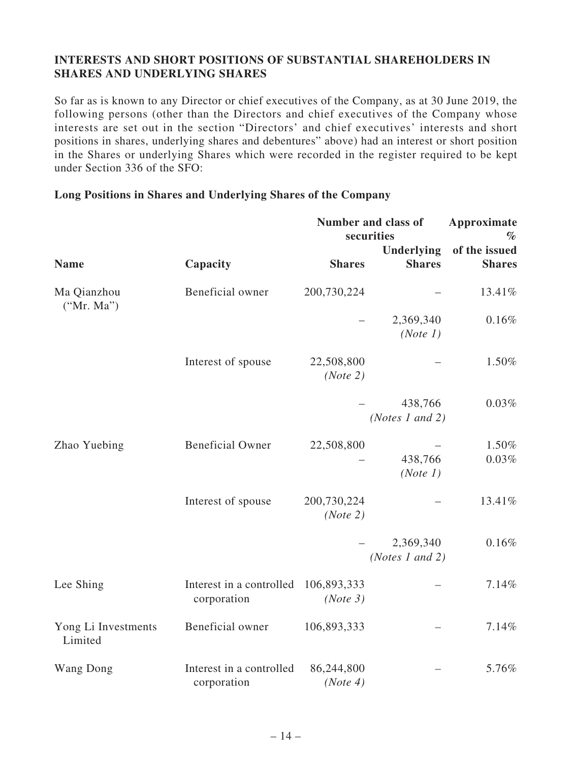### **INTERESTS AND SHORT POSITIONS OF SUBSTANTIAL SHAREHOLDERS IN SHARES AND UNDERLYING SHARES**

So far as is known to any Director or chief executives of the Company, as at 30 June 2019, the following persons (other than the Directors and chief executives of the Company whose interests are set out in the section "Directors' and chief executives' interests and short positions in shares, underlying shares and debentures" above) had an interest or short position in the Shares or underlying Shares which were recorded in the register required to be kept under Section 336 of the SFO:

|                                |                                         | Number and class of<br>securities | Approximate<br>$\%$<br>of the issued |                   |
|--------------------------------|-----------------------------------------|-----------------------------------|--------------------------------------|-------------------|
| <b>Name</b>                    | Capacity                                | <b>Shares</b>                     | Underlying<br><b>Shares</b>          | <b>Shares</b>     |
| Ma Qianzhou<br>("Mr. Ma")      | Beneficial owner                        | 200,730,224                       |                                      | 13.41%            |
|                                |                                         |                                   | 2,369,340<br>(Note 1)                | 0.16%             |
|                                | Interest of spouse                      | 22,508,800<br>(Note 2)            |                                      | 1.50%             |
|                                |                                         |                                   | 438,766<br>(Notes 1 and 2)           | 0.03%             |
| Zhao Yuebing                   | <b>Beneficial Owner</b>                 | 22,508,800                        | 438,766<br>(Note 1)                  | 1.50%<br>$0.03\%$ |
|                                | Interest of spouse                      | 200,730,224<br>(Note 2)           |                                      | 13.41%            |
|                                |                                         |                                   | 2,369,340<br>(Notes 1 and 2)         | 0.16%             |
| Lee Shing                      | Interest in a controlled<br>corporation | 106,893,333<br>(Note 3)           |                                      | 7.14%             |
| Yong Li Investments<br>Limited | Beneficial owner                        | 106,893,333                       |                                      | 7.14%             |
| Wang Dong                      | Interest in a controlled<br>corporation | 86,244,800<br>(Note 4)            |                                      | 5.76%             |

#### **Long Positions in Shares and Underlying Shares of the Company**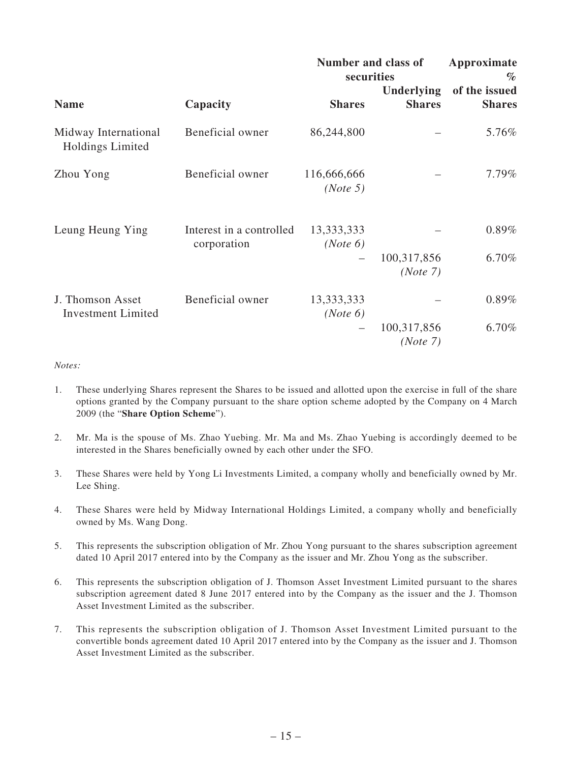|                                                 |                                         | Number and class of<br>securities | Approximate<br>$\%$                |                                |
|-------------------------------------------------|-----------------------------------------|-----------------------------------|------------------------------------|--------------------------------|
| <b>Name</b>                                     | Capacity                                | <b>Shares</b>                     | <b>Underlying</b><br><b>Shares</b> | of the issued<br><b>Shares</b> |
| Midway International<br><b>Holdings Limited</b> | Beneficial owner                        | 86,244,800                        |                                    | 5.76%                          |
| Zhou Yong                                       | Beneficial owner                        | 116,666,666<br>(Note 5)           |                                    | 7.79%                          |
| Leung Heung Ying                                | Interest in a controlled<br>corporation | 13,333,333<br>(Note 6)            | 100,317,856                        | $0.89\%$<br>6.70%              |
|                                                 |                                         |                                   | (Note 7)                           |                                |
| J. Thomson Asset<br><b>Investment Limited</b>   | Beneficial owner                        | 13,333,333<br>(Note 6)            |                                    | $0.89\%$                       |
|                                                 |                                         |                                   | 100,317,856<br>(Note 7)            | 6.70%                          |

#### *Notes:*

- 1. These underlying Shares represent the Shares to be issued and allotted upon the exercise in full of the share options granted by the Company pursuant to the share option scheme adopted by the Company on 4 March 2009 (the "**Share Option Scheme**").
- 2. Mr. Ma is the spouse of Ms. Zhao Yuebing. Mr. Ma and Ms. Zhao Yuebing is accordingly deemed to be interested in the Shares beneficially owned by each other under the SFO.
- 3. These Shares were held by Yong Li Investments Limited, a company wholly and beneficially owned by Mr. Lee Shing.
- 4. These Shares were held by Midway International Holdings Limited, a company wholly and beneficially owned by Ms. Wang Dong.
- 5. This represents the subscription obligation of Mr. Zhou Yong pursuant to the shares subscription agreement dated 10 April 2017 entered into by the Company as the issuer and Mr. Zhou Yong as the subscriber.
- 6. This represents the subscription obligation of J. Thomson Asset Investment Limited pursuant to the shares subscription agreement dated 8 June 2017 entered into by the Company as the issuer and the J. Thomson Asset Investment Limited as the subscriber.
- 7. This represents the subscription obligation of J. Thomson Asset Investment Limited pursuant to the convertible bonds agreement dated 10 April 2017 entered into by the Company as the issuer and J. Thomson Asset Investment Limited as the subscriber.